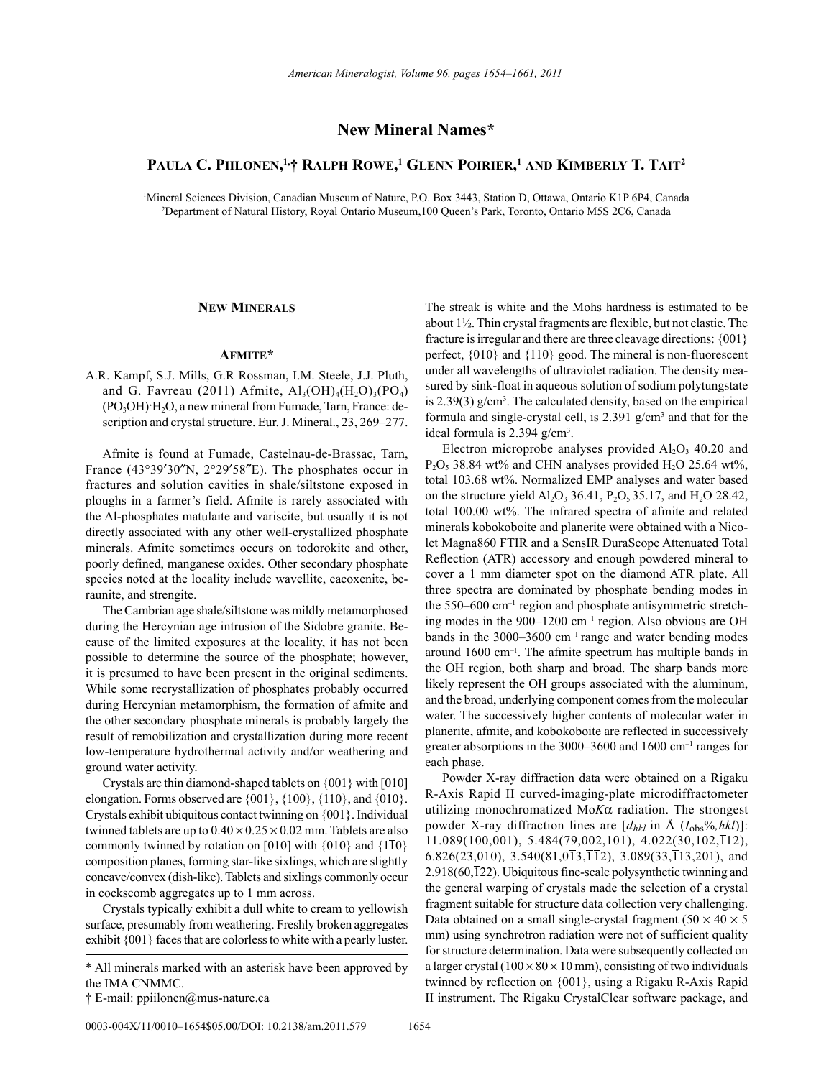# **New Mineral Names\***

# **Paula C. Piilonen, 1,† RalPh Rowe, 1 Glenn PoiRieR, <sup>1</sup> and KimbeRly T. TaiT2**

1 Mineral Sciences Division, Canadian Museum of Nature, P.O. Box 3443, Station D, Ottawa, Ontario K1P 6P4, Canada 2 Department of Natural History, Royal Ontario Museum,100 Queen's Park, Toronto, Ontario M5S 2C6, Canada

## **new mineRals**

### **afmiTe\***

A.R. Kampf, S.J. Mills, G.R Rossman, I.M. Steele, J.J. Pluth, and G. Favreau (2011) Afmite,  $Al_3(OH)_4(H_2O)_3(PO_4)$  $(PO<sub>3</sub>OH)·H<sub>2</sub>O$ , a new mineral from Fumade, Tarn, France: description and crystal structure. Eur. J. Mineral., 23, 269–277.

Afmite is found at Fumade, Castelnau-de-Brassac, Tarn, France (43°39′30″N, 2°29′58″E). The phosphates occur in fractures and solution cavities in shale/siltstone exposed in ploughs in a farmer's field. Afmite is rarely associated with the Al-phosphates matulaite and variscite, but usually it is not directly associated with any other well-crystallized phosphate minerals. Afmite sometimes occurs on todorokite and other, poorly defined, manganese oxides. Other secondary phosphate species noted at the locality include wavellite, cacoxenite, beraunite, and strengite.

The Cambrian age shale/siltstone was mildly metamorphosed during the Hercynian age intrusion of the Sidobre granite. Because of the limited exposures at the locality, it has not been possible to determine the source of the phosphate; however, it is presumed to have been present in the original sediments. While some recrystallization of phosphates probably occurred during Hercynian metamorphism, the formation of afmite and the other secondary phosphate minerals is probably largely the result of remobilization and crystallization during more recent low-temperature hydrothermal activity and/or weathering and ground water activity.

Crystals are thin diamond-shaped tablets on {001} with [010] elongation. Forms observed are {001}, {100}, {110}, and {010}. Crystals exhibit ubiquitous contact twinning on {001}. Individual twinned tablets are up to  $0.40 \times 0.25 \times 0.02$  mm. Tablets are also commonly twinned by rotation on [010] with  $\{010\}$  and  $\{1\overline{1}0\}$ composition planes, forming star-like sixlings, which are slightly concave/convex (dish-like). Tablets and sixlings commonly occur in cockscomb aggregates up to 1 mm across.

Crystals typically exhibit a dull white to cream to yellowish surface, presumably from weathering. Freshly broken aggregates exhibit {001} faces that are colorless to white with a pearly luster.

0003-004X/11/0010-1654\$05.00/DOI: 10.2138/am.2011.579 1654

The streak is white and the Mohs hardness is estimated to be about 1½. Thin crystal fragments are flexible, but not elastic. The fracture is irregular and there are three cleavage directions: {001} perfect, {010} and {110} good. The mineral is non-fluorescent under all wavelengths of ultraviolet radiation. The density measured by sink-float in aqueous solution of sodium polytungstate is 2.39(3) g/cm<sup>3</sup>. The calculated density, based on the empirical formula and single-crystal cell, is 2.391 g/cm3 and that for the ideal formula is  $2.394$  g/cm<sup>3</sup>.

Electron microprobe analyses provided  $Al_2O_3$  40.20 and  $P_2O_5$  38.84 wt% and CHN analyses provided H<sub>2</sub>O 25.64 wt%, total 103.68 wt%. Normalized EMP analyses and water based on the structure yield  $Al_2O_3$  36.41,  $P_2O_5$  35.17, and  $H_2O$  28.42, total 100.00 wt%. The infrared spectra of afmite and related minerals kobokoboite and planerite were obtained with a Nicolet Magna860 FTIR and a SensIR DuraScope Attenuated Total Reflection (ATR) accessory and enough powdered mineral to cover a 1 mm diameter spot on the diamond ATR plate. All three spectra are dominated by phosphate bending modes in the 550–600 cm<sup>-1</sup> region and phosphate antisymmetric stretching modes in the 900–1200 cm–1 region. Also obvious are OH bands in the 3000–3600 cm–1 range and water bending modes around 1600 cm–1. The afmite spectrum has multiple bands in the OH region, both sharp and broad. The sharp bands more likely represent the OH groups associated with the aluminum, and the broad, underlying component comes from the molecular water. The successively higher contents of molecular water in planerite, afmite, and kobokoboite are reflected in successively greater absorptions in the 3000–3600 and 1600 cm–1 ranges for each phase.

Powder X-ray diffraction data were obtained on a Rigaku R-Axis Rapid II curved-imaging-plate microdiffractometer utilizing monochromatized Mo*K*a radiation. The strongest powder X-ray diffraction lines are  $[d_{hkl}$  in Å  $(I_{obs}\%, hkl)]$ :  $11.089(100,001)$ ,  $5.484(79,002,101)$ ,  $4.022(30,102,112)$ , 6.826(23,010), 3.540(81,0 $\overline{1}3,\overline{1}12$ ), 3.089(33, $\overline{1}13,201$ ), and 2.918(60,122). Ubiquitous fine-scale polysynthetic twinning and the general warping of crystals made the selection of a crystal fragment suitable for structure data collection very challenging. Data obtained on a small single-crystal fragment  $(50 \times 40 \times 5$ mm) using synchrotron radiation were not of sufficient quality for structure determination. Data were subsequently collected on a larger crystal  $(100 \times 80 \times 10 \text{ mm})$ , consisting of two individuals twinned by reflection on {001}, using a Rigaku R-Axis Rapid II instrument. The Rigaku CrystalClear software package, and

<sup>\*</sup> All minerals marked with an asterisk have been approved by the IMA CNMMC.

<sup>†</sup> E-mail: ppiilonen@mus-nature.ca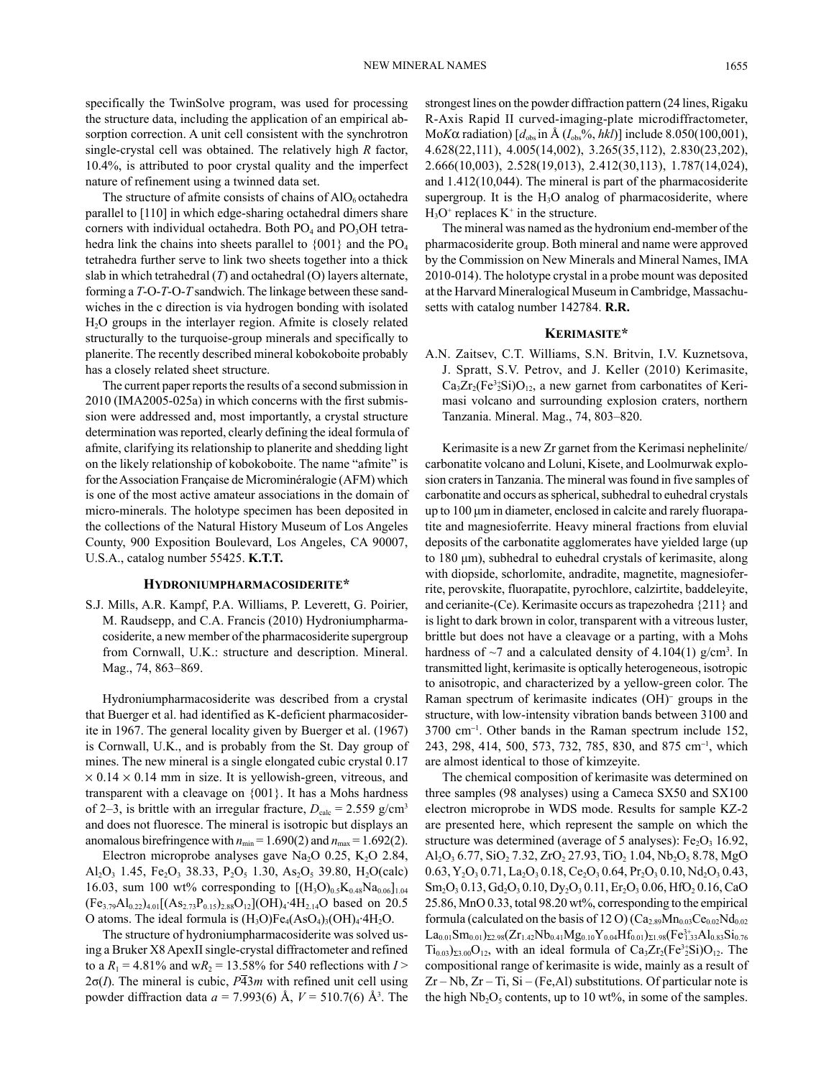specifically the TwinSolve program, was used for processing the structure data, including the application of an empirical absorption correction. A unit cell consistent with the synchrotron single-crystal cell was obtained. The relatively high *R* factor, 10.4%, is attributed to poor crystal quality and the imperfect nature of refinement using a twinned data set.

The structure of afmite consists of chains of  $AIO<sub>6</sub>$  octahedra parallel to [110] in which edge-sharing octahedral dimers share corners with individual octahedra. Both  $PO_4$  and  $PO_3OH$  tetrahedra link the chains into sheets parallel to  ${001}$  and the PO<sub>4</sub> tetrahedra further serve to link two sheets together into a thick slab in which tetrahedral (*T*) and octahedral (O) layers alternate, forming a *T*-O-*T*-O-*T* sandwich. The linkage between these sandwiches in the c direction is via hydrogen bonding with isolated H2O groups in the interlayer region. Afmite is closely related structurally to the turquoise-group minerals and specifically to planerite. The recently described mineral kobokoboite probably has a closely related sheet structure.

The current paper reports the results of a second submission in 2010 (IMA2005-025a) in which concerns with the first submission were addressed and, most importantly, a crystal structure determination was reported, clearly defining the ideal formula of afmite, clarifying its relationship to planerite and shedding light on the likely relationship of kobokoboite. The name "afmite" is for the Association Française de Microminéralogie (AFM) which is one of the most active amateur associations in the domain of micro-minerals. The holotype specimen has been deposited in the collections of the Natural History Museum of Los Angeles County, 900 Exposition Boulevard, Los Angeles, CA 90007, U.S.A., catalog number 55425. **K.T.T.**

#### **hydRoniumPhaRmaCosideRiTe\***

S.J. Mills, A.R. Kampf, P.A. Williams, P. Leverett, G. Poirier, M. Raudsepp, and C.A. Francis (2010) Hydroniumpharmacosiderite, a new member of the pharmacosiderite supergroup from Cornwall, U.K.: structure and description. Mineral. Mag., 74, 863–869.

Hydroniumpharmacosiderite was described from a crystal that Buerger et al. had identified as K-deficient pharmacosiderite in 1967. The general locality given by Buerger et al. (1967) is Cornwall, U.K., and is probably from the St. Day group of mines. The new mineral is a single elongated cubic crystal 0.17  $\times$  0.14  $\times$  0.14 mm in size. It is yellowish-green, vitreous, and transparent with a cleavage on {001}. It has a Mohs hardness of 2–3, is brittle with an irregular fracture,  $D_{\text{calc}} = 2.559$  g/cm<sup>3</sup> and does not fluoresce. The mineral is isotropic but displays an anomalous birefringence with  $n_{min} = 1.690(2)$  and  $n_{max} = 1.692(2)$ .

Electron microprobe analyses gave Na<sub>2</sub>O 0.25, K<sub>2</sub>O 2.84, Al<sub>2</sub>O<sub>3</sub> 1.45, Fe<sub>2</sub>O<sub>3</sub> 38.33, P<sub>2</sub>O<sub>5</sub> 1.30, As<sub>2</sub>O<sub>5</sub> 39.80, H<sub>2</sub>O(calc) 16.03, sum 100 wt% corresponding to  $[(H_3O)_{0.5}K_{0.48}Na_{0.06}]_{1.04}$  $(Fe_{3.79}Al_{0.22})_{4.01}[(As_{2.73}P_{0.15})_{2.88}O_{12}](OH)_4.4H_{2.14}O$  based on 20.5 O atoms. The ideal formula is  $(H_3O)Fe_4(AsO_4)_3(OH)_4.4H_2O$ .

The structure of hydroniumpharmacosiderite was solved using a Bruker X8 ApexII single-crystal diffractometer and refined to a  $R_1 = 4.81\%$  and w $R_2 = 13.58\%$  for 540 reflections with  $I >$  $2\sigma(I)$ . The mineral is cubic,  $P\overline{4}3m$  with refined unit cell using powder diffraction data *a* = 7.993(6) Å, *V* = 510.7(6) Å3 . The strongest lines on the powder diffraction pattern (24 lines, Rigaku R-Axis Rapid II curved-imaging-plate microdiffractometer, Mo*K* $\alpha$  radiation)  $[d_{obs}$  in Å  $(I_{obs}\%, hkl)]$  include 8.050(100,001), 4.628(22,111), 4.005(14,002), 3.265(35,112), 2.830(23,202), 2.666(10,003), 2.528(19,013), 2.412(30,113), 1.787(14,024), and 1.412(10,044). The mineral is part of the pharmacosiderite supergroup. It is the  $H_3O$  analog of pharmacosiderite, where  $H<sub>3</sub>O<sup>+</sup>$  replaces  $K<sup>+</sup>$  in the structure.

The mineral was named as the hydronium end-member of the pharmacosiderite group. Both mineral and name were approved by the Commission on New Minerals and Mineral Names, IMA 2010-014). The holotype crystal in a probe mount was deposited at the Harvard Mineralogical Museum in Cambridge, Massachusetts with catalog number 142784. **R.R.**

### **KeRimasiTe\***

A.N. Zaitsev, C.T. Williams, S.N. Britvin, I.V. Kuznetsova, J. Spratt, S.V. Petrov, and J. Keller (2010) Kerimasite,  $Ca<sub>3</sub>Zr<sub>2</sub>(Fe<sup>3+</sup><sub>2</sub>Si)O<sub>12</sub>$ , a new garnet from carbonatites of Kerimasi volcano and surrounding explosion craters, northern Tanzania. Mineral. Mag., 74, 803–820.

Kerimasite is a new Zr garnet from the Kerimasi nephelinite/ carbonatite volcano and Loluni, Kisete, and Loolmurwak explosion craters in Tanzania. The mineral was found in five samples of carbonatite and occurs as spherical, subhedral to euhedral crystals up to 100 μm in diameter, enclosed in calcite and rarely fluorapatite and magnesioferrite. Heavy mineral fractions from eluvial deposits of the carbonatite agglomerates have yielded large (up to 180 μm), subhedral to euhedral crystals of kerimasite, along with diopside, schorlomite, andradite, magnetite, magnesioferrite, perovskite, fluorapatite, pyrochlore, calzirtite, baddeleyite, and cerianite-(Ce). Kerimasite occurs as trapezohedra {211} and is light to dark brown in color, transparent with a vitreous luster, brittle but does not have a cleavage or a parting, with a Mohs hardness of  $\sim$ 7 and a calculated density of 4.104(1) g/cm<sup>3</sup>. In transmitted light, kerimasite is optically heterogeneous, isotropic to anisotropic, and characterized by a yellow-green color. The Raman spectrum of kerimasite indicates (OH)<sup>-</sup> groups in the structure, with low-intensity vibration bands between 3100 and 3700 cm-<sup>1</sup> . Other bands in the Raman spectrum include 152, 243, 298, 414, 500, 573, 732, 785, 830, and 875 cm-<sup>1</sup> , which are almost identical to those of kimzeyite.

The chemical composition of kerimasite was determined on three samples (98 analyses) using a Cameca SX50 and SX100 electron microprobe in WDS mode. Results for sample KZ-2 are presented here, which represent the sample on which the structure was determined (average of 5 analyses):  $Fe<sub>2</sub>O<sub>3</sub> 16.92$ , Al<sub>2</sub>O<sub>3</sub> 6.77, SiO<sub>2</sub> 7.32, ZrO<sub>2</sub> 27.93, TiO<sub>2</sub> 1.04, Nb<sub>2</sub>O<sub>5</sub> 8.78, MgO  $0.63, Y_2O_3 0.71, La_2O_3 0.18, Ce_2O_3 0.64, Pr_2O_3 0.10, Nd_2O_3 0.43,$  $Sm_2O_3$  0.13,  $Gd_2O_3$  0.10,  $Dy_2O_3$  0.11,  $Er_2O_3$  0.06,  $HfO_2$  0.16, CaO 25.86, MnO 0.33, total 98.20 wt%, corresponding to the empirical formula (calculated on the basis of 12 O)  $(Ca_{2.89}Mn_{0.03}Ce_{0.02}Nd_{0.02})$  $La_{0.01}Sm_{0.01}$ ) $_{\Sigma2.98}(Zr_{1.42}Nb_{0.41}Mg_{0.10}Y_{0.04}Hf_{0.01})_{\Sigma1.98}(Fe_{1.33}^{3+}Al_{0.83}Si_{0.76}$  $Ti<sub>0.03</sub>$ )<sub>23.00</sub>O<sub>12</sub>, with an ideal formula of Ca<sub>3</sub>Zr<sub>2</sub>(Fe<sup>3+</sup><sub>2</sub>Si)O<sub>12</sub>. The compositional range of kerimasite is wide, mainly as a result of  $Zr - Nb$ ,  $Zr - Ti$ ,  $Si - (Fe, Al)$  substitutions. Of particular note is the high  $Nb<sub>2</sub>O<sub>5</sub>$  contents, up to 10 wt%, in some of the samples.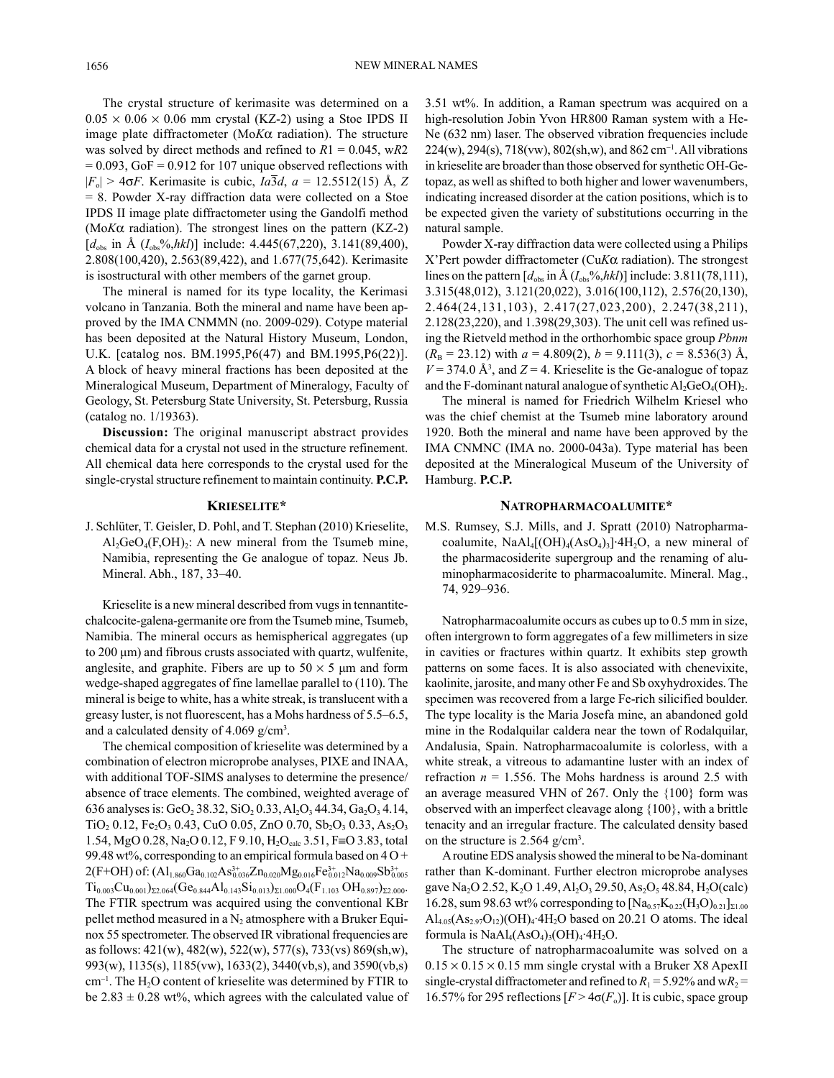The crystal structure of kerimasite was determined on a  $0.05 \times 0.06 \times 0.06$  mm crystal (KZ-2) using a Stoe IPDS II image plate diffractometer (Mo*K*a radiation). The structure was solved by direct methods and refined to *R*1 = 0.045, w*R*2  $= 0.093$ , GoF  $= 0.912$  for 107 unique observed reflections with  $|F_{o}| > 4\sigma F$ . Kerimasite is cubic,  $Ia\overline{3}d$ ,  $a = 12.5512(15)$  Å, *Z* = 8. Powder X-ray diffraction data were collected on a Stoe IPDS II image plate diffractometer using the Gandolfi method (Mo $K\alpha$  radiation). The strongest lines on the pattern  $(KZ-2)$  $[d_{\text{obs}}]$  in Å  $(I_{\text{obs}}\%$ ,*hkl*)] include: 4.445(67,220), 3.141(89,400), 2.808(100,420), 2.563(89,422), and 1.677(75,642). Kerimasite is isostructural with other members of the garnet group.

The mineral is named for its type locality, the Kerimasi volcano in Tanzania. Both the mineral and name have been approved by the IMA CNMMN (no. 2009-029). Cotype material has been deposited at the Natural History Museum, London, U.K. [catalog nos. BM.1995,P6(47) and BM.1995,P6(22)]. A block of heavy mineral fractions has been deposited at the Mineralogical Museum, Department of Mineralogy, Faculty of Geology, St. Petersburg State University, St. Petersburg, Russia (catalog no. 1/19363).

**Discussion:** The original manuscript abstract provides chemical data for a crystal not used in the structure refinement. All chemical data here corresponds to the crystal used for the single-crystal structure refinement to maintain continuity. **P.C.P.**

## **KRieseliTe\***

J. Schlüter, T. Geisler, D. Pohl, and T. Stephan (2010) Krieselite,  $Al_2GeO_4(F,OH)$ : A new mineral from the Tsumeb mine, Namibia, representing the Ge analogue of topaz. Neus Jb. Mineral. Abh., 187, 33–40.

Krieselite is a new mineral described from vugs in tennantitechalcocite-galena-germanite ore from the Tsumeb mine, Tsumeb, Namibia. The mineral occurs as hemispherical aggregates (up to 200 μm) and fibrous crusts associated with quartz, wulfenite, anglesite, and graphite. Fibers are up to  $50 \times 5$  µm and form wedge-shaped aggregates of fine lamellae parallel to (110). The mineral is beige to white, has a white streak, is translucent with a greasy luster, is not fluorescent, has a Mohs hardness of 5.5–6.5, and a calculated density of  $4.069$  g/cm<sup>3</sup>.

The chemical composition of krieselite was determined by a combination of electron microprobe analyses, PIXE and INAA, with additional TOF-SIMS analyses to determine the presence/ absence of trace elements. The combined, weighted average of 636 analyses is: GeO<sub>2</sub> 38.32, SiO<sub>2</sub> 0.33, Al<sub>2</sub>O<sub>3</sub> 44.34, Ga<sub>2</sub>O<sub>3</sub> 4.14,  $TiO<sub>2</sub> 0.12, Fe<sub>2</sub>O<sub>3</sub> 0.43, CuO 0.05, ZnO 0.70, Sb<sub>2</sub>O<sub>3</sub> 0.33, As<sub>2</sub>O<sub>3</sub>$ 1.54, MgO 0.28, Na<sub>2</sub>O 0.12, F 9.10, H<sub>2</sub>O<sub>calc</sub> 3.51, F≡O 3.83, total 99.48 wt%, corresponding to an empirical formula based on  $40+$  $2(F+OH)$  of:  $(Al_{1.860}Ga_{0.102}As_{0.036}^{3+}Zn_{0.020}Mg_{0.016}Fe_{0.012}^{3+}Na_{0.009}Sb_{0.005}^{3+}$  $Ti_{0.003}Cu_{0.001}$ ) $_{\Sigma2.064}(Ge_{0.844}Al_{0.143}Si_{0.013})_{\Sigma1.000}O_4(F_{1.103}OH_{0.897})_{\Sigma2.000}$ The FTIR spectrum was acquired using the conventional KBr pellet method measured in a  $N_2$  atmosphere with a Bruker Equinox 55 spectrometer. The observed IR vibrational frequencies are as follows: 421(w), 482(w), 522(w), 577(s), 733(vs) 869(sh,w), 993(w), 1135(s), 1185(vw), 1633(2), 3440(vb,s), and 3590(vb,s)  $cm^{-1}$ . The H<sub>2</sub>O content of krieselite was determined by FTIR to be  $2.83 \pm 0.28$  wt%, which agrees with the calculated value of

3.51 wt%. In addition, a Raman spectrum was acquired on a high-resolution Jobin Yvon HR800 Raman system with a He-Ne (632 nm) laser. The observed vibration frequencies include 224(w), 294(s), 718(vw), 802(sh,w), and 862 cm-<sup>1</sup> . All vibrations in krieselite are broader than those observed for synthetic OH-Getopaz, as well as shifted to both higher and lower wavenumbers, indicating increased disorder at the cation positions, which is to be expected given the variety of substitutions occurring in the natural sample.

Powder X-ray diffraction data were collected using a Philips X'Pert powder diffractometer (Cu*K*a radiation). The strongest lines on the pattern  $[d_{obs}$  in Å  $(I_{obs}\%$ ,*hkl*)] include: 3.811(78,111), 3.315(48,012), 3.121(20,022), 3.016(100,112), 2.576(20,130), 2.464(24,131,103), 2.417(27,023,200), 2.247(38,211), 2.128(23,220), and 1.398(29,303). The unit cell was refined using the Rietveld method in the orthorhombic space group *Pbnm*  $(R_B = 23.12)$  with  $a = 4.809(2)$ ,  $b = 9.111(3)$ ,  $c = 8.536(3)$  Å,  $V = 374.0$  Å<sup>3</sup>, and  $Z = 4$ . Krieselite is the Ge-analogue of topaz and the F-dominant natural analogue of synthetic  $Al_2GeO_4(OH)_2$ .

The mineral is named for Friedrich Wilhelm Kriesel who was the chief chemist at the Tsumeb mine laboratory around 1920. Both the mineral and name have been approved by the IMA CNMNC (IMA no. 2000-043a). Type material has been deposited at the Mineralogical Museum of the University of Hamburg. **P.C.P.**

#### **naTRoPhaRmaCoalumiTe\***

M.S. Rumsey, S.J. Mills, and J. Spratt (2010) Natropharmacoalumite,  $NaAl_4[(OH)_4(AsO_4)_3]\cdot 4H_2O$ , a new mineral of the pharmacosiderite supergroup and the renaming of aluminopharmacosiderite to pharmacoalumite. Mineral. Mag., 74, 929–936.

Natropharmacoalumite occurs as cubes up to 0.5 mm in size, often intergrown to form aggregates of a few millimeters in size in cavities or fractures within quartz. It exhibits step growth patterns on some faces. It is also associated with chenevixite, kaolinite, jarosite, and many other Fe and Sb oxyhydroxides. The specimen was recovered from a large Fe-rich silicified boulder. The type locality is the Maria Josefa mine, an abandoned gold mine in the Rodalquilar caldera near the town of Rodalquilar, Andalusia, Spain. Natropharmacoalumite is colorless, with a white streak, a vitreous to adamantine luster with an index of refraction  $n = 1.556$ . The Mohs hardness is around 2.5 with an average measured VHN of 267. Only the {100} form was observed with an imperfect cleavage along {100}, with a brittle tenacity and an irregular fracture. The calculated density based on the structure is 2.564 g/cm<sup>3</sup>.

A routine EDS analysis showed the mineral to be Na-dominant rather than K-dominant. Further electron microprobe analyses gave Na<sub>2</sub>O 2.52, K<sub>2</sub>O 1.49, Al<sub>2</sub>O<sub>3</sub> 29.50, As<sub>2</sub>O<sub>5</sub> 48.84, H<sub>2</sub>O(calc) 16.28, sum 98.63 wt% corresponding to  $[Na_{0.57}K_{0.22}(H_3O)_{0.21}]_{\Sigma1.00}$  $\text{Al}_{4.05}(\text{As}_{2.97}\text{O}_{12})(\text{OH})_4$ ·4H<sub>2</sub>O based on 20.21 O atoms. The ideal formula is  $NaAl<sub>4</sub>(AsO<sub>4</sub>)<sub>3</sub>(OH)<sub>4</sub>·4H<sub>2</sub>O$ .

The structure of natropharmacoalumite was solved on a  $0.15 \times 0.15 \times 0.15$  mm single crystal with a Bruker X8 ApexII single-crystal diffractometer and refined to  $R_1 = 5.92\%$  and w $R_2 =$ 16.57% for 295 reflections  $[F > 4\sigma(F_o)]$ . It is cubic, space group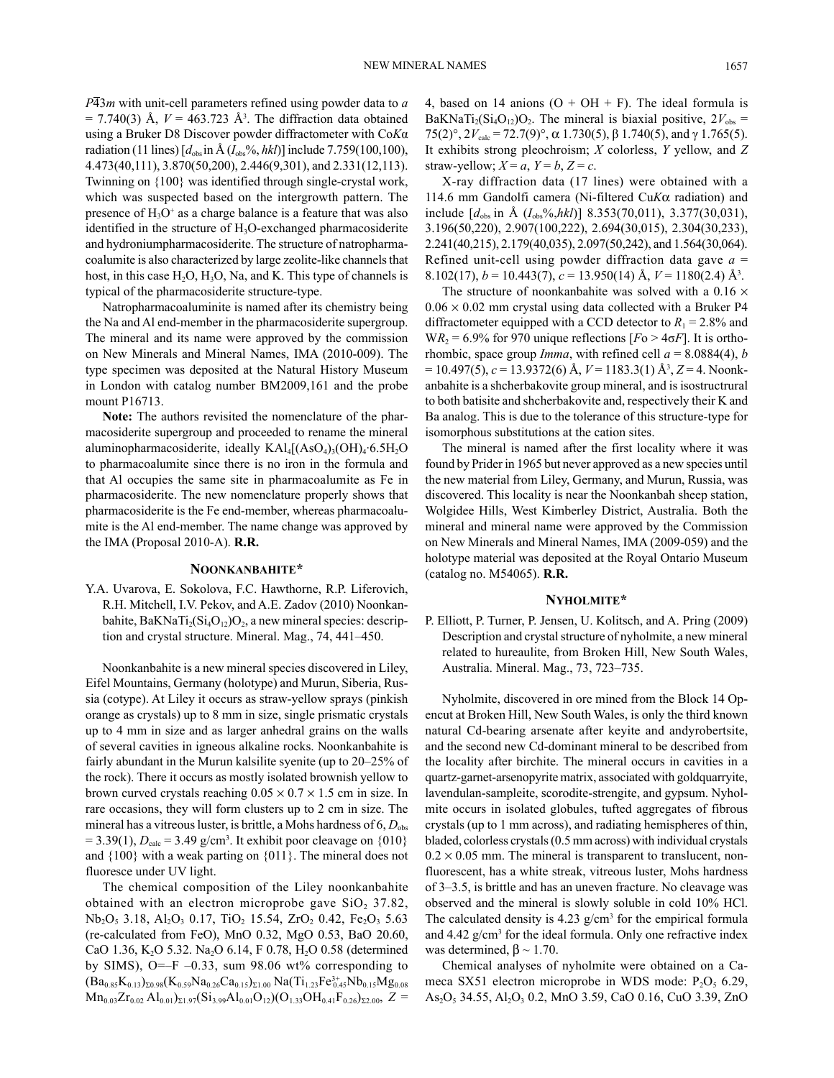*P*43*m* with unit-cell parameters refined using powder data to *a*  $= 7.740(3)$  Å,  $V = 463.723$  Å<sup>3</sup>. The diffraction data obtained using a Bruker D8 Discover powder diffractometer with Co*K*α radiation (11 lines)  $[d_{obs}$  in Å  $(I_{obs}\%, hkl)]$  include 7.759(100,100), 4.473(40,111), 3.870(50,200), 2.446(9,301), and 2.331(12,113). Twinning on {100} was identified through single-crystal work, which was suspected based on the intergrowth pattern. The presence of  $H_3O^+$  as a charge balance is a feature that was also identified in the structure of  $H_3O$ -exchanged pharmacosiderite and hydroniumpharmacosiderite. The structure of natropharmacoalumite is also characterized by large zeolite-like channels that host, in this case  $H_2O$ ,  $H_3O$ , Na, and K. This type of channels is typical of the pharmacosiderite structure-type.

Natropharmacoaluminite is named after its chemistry being the Na and Al end-member in the pharmacosiderite supergroup. The mineral and its name were approved by the commission on New Minerals and Mineral Names, IMA (2010-009). The type specimen was deposited at the Natural History Museum in London with catalog number BM2009,161 and the probe mount P16713.

**Note:** The authors revisited the nomenclature of the pharmacosiderite supergroup and proceeded to rename the mineral aluminopharmacosiderite, ideally  $KAI_4[(AsO_4)_3(OH)_4·6.5H_2O]$ to pharmacoalumite since there is no iron in the formula and that Al occupies the same site in pharmacoalumite as Fe in pharmacosiderite. The new nomenclature properly shows that pharmacosiderite is the Fe end-member, whereas pharmacoalumite is the Al end-member. The name change was approved by the IMA (Proposal 2010-A). **R.R.**

## **noonKanbahiTe\***

Y.A. Uvarova, E. Sokolova, F.C. Hawthorne, R.P. Liferovich, R.H. Mitchell, I.V. Pekov, and A.E. Zadov (2010) Noonkanbahite, BaKNaTi<sub>2</sub>(Si<sub>4</sub>O<sub>12</sub>)O<sub>2</sub>, a new mineral species: description and crystal structure. Mineral. Mag., 74, 441–450.

Noonkanbahite is a new mineral species discovered in Liley, Eifel Mountains, Germany (holotype) and Murun, Siberia, Russia (cotype). At Liley it occurs as straw-yellow sprays (pinkish orange as crystals) up to 8 mm in size, single prismatic crystals up to 4 mm in size and as larger anhedral grains on the walls of several cavities in igneous alkaline rocks. Noonkanbahite is fairly abundant in the Murun kalsilite syenite (up to 20–25% of the rock). There it occurs as mostly isolated brownish yellow to brown curved crystals reaching  $0.05 \times 0.7 \times 1.5$  cm in size. In rare occasions, they will form clusters up to 2 cm in size. The mineral has a vitreous luster, is brittle, a Mohs hardness of  $6, D_{obs}$  $= 3.39(1)$ ,  $D_{\text{calc}} = 3.49$  g/cm<sup>3</sup>. It exhibit poor cleavage on  $\{010\}$ and {100} with a weak parting on {011}. The mineral does not fluoresce under UV light.

The chemical composition of the Liley noonkanbahite obtained with an electron microprobe gave  $SiO<sub>2</sub> 37.82$ ,  $Nb<sub>2</sub>O<sub>5</sub>$  3.18,  $Al<sub>2</sub>O<sub>3</sub>$  0.17, TiO<sub>2</sub> 15.54, ZrO<sub>2</sub> 0.42, Fe<sub>2</sub>O<sub>3</sub> 5.63 (re-calculated from FeO), MnO 0.32, MgO 0.53, BaO 20.60, CaO 1.36, K<sub>2</sub>O 5.32. Na<sub>2</sub>O 6.14, F 0.78, H<sub>2</sub>O 0.58 (determined by SIMS),  $O=-F$  –0.33, sum 98.06 wt% corresponding to  $(Ba_{0.85}K_{0.13})_{\Sigma 0.98}(K_{0.59}Na_{0.26}Ca_{0.15})_{\Sigma 1.00}$   $Na(Ti_{1.23}Fe_{0.45}^{3+}Nb_{0.15}Mg_{0.08}$  $Mn_{0.03}Zr_{0.02}Al_{0.01}\Sigma_{1.97}(Si_{3.99}Al_{0.01}O_{12})(O_{1.33}OH_{0.41}F_{0.26}\Sigma_{2.00}, Z =$  4, based on 14 anions  $(O + OH + F)$ . The ideal formula is BaKNaTi<sub>2</sub>(Si<sub>4</sub>O<sub>12</sub>)O<sub>2</sub>. The mineral is biaxial positive,  $2V_{obs}$  = 75(2)°, 2*V*calc = 72.7(9)°, a 1.730(5), β 1.740(5), and γ 1.765(5). It exhibits strong pleochroism; *X* colorless, *Y* yellow, and *Z* straw-yellow;  $X = a$ ,  $Y = b$ ,  $Z = c$ .

X-ray diffraction data (17 lines) were obtained with a 114.6 mm Gandolfi camera (Ni-filtered Cu*K*a radiation) and include  $[d_{obs}$  in Å  $(I_{obs}\%, hkl)]$  8.353(70,011), 3.377(30,031), 3.196(50,220), 2.907(100,222), 2.694(30,015), 2.304(30,233), 2.241(40,215), 2.179(40,035), 2.097(50,242), and 1.564(30,064). Refined unit-cell using powder diffraction data gave *a* = 8.102(17),  $b = 10.443(7)$ ,  $c = 13.950(14)$  Å,  $V = 1180(2.4)$  Å<sup>3</sup>.

The structure of noonkanbahite was solved with a  $0.16 \times$  $0.06 \times 0.02$  mm crystal using data collected with a Bruker P4 diffractometer equipped with a CCD detector to  $R_1 = 2.8\%$  and  $WR_2 = 6.9\%$  for 970 unique reflections  $[Fe > 4\sigma F]$ . It is orthorhombic, space group *Imma*, with refined cell  $a = 8.0884(4)$ , *b* = 10.497(5), *c* = 13.9372(6) Å, *V* = 1183.3(1) Å3 , *Z* = 4. Noonkanbahite is a shcherbakovite group mineral, and is isostructrural to both batisite and shcherbakovite and, respectively their K and Ba analog. This is due to the tolerance of this structure-type for isomorphous substitutions at the cation sites.

The mineral is named after the first locality where it was found by Prider in 1965 but never approved as a new species until the new material from Liley, Germany, and Murun, Russia, was discovered. This locality is near the Noonkanbah sheep station, Wolgidee Hills, West Kimberley District, Australia. Both the mineral and mineral name were approved by the Commission on New Minerals and Mineral Names, IMA (2009-059) and the holotype material was deposited at the Royal Ontario Museum (catalog no. M54065). **R.R.**

#### **nyholmiTe\***

P. Elliott, P. Turner, P. Jensen, U. Kolitsch, and A. Pring (2009) Description and crystal structure of nyholmite, a new mineral related to hureaulite, from Broken Hill, New South Wales, Australia. Mineral. Mag., 73, 723–735.

Nyholmite, discovered in ore mined from the Block 14 Opencut at Broken Hill, New South Wales, is only the third known natural Cd-bearing arsenate after keyite and andyrobertsite, and the second new Cd-dominant mineral to be described from the locality after birchite. The mineral occurs in cavities in a quartz-garnet-arsenopyrite matrix, associated with goldquarryite, lavendulan-sampleite, scorodite-strengite, and gypsum. Nyholmite occurs in isolated globules, tufted aggregates of fibrous crystals (up to 1 mm across), and radiating hemispheres of thin, bladed, colorless crystals (0.5 mm across) with individual crystals  $0.2 \times 0.05$  mm. The mineral is transparent to translucent, nonfluorescent, has a white streak, vitreous luster, Mohs hardness of 3–3.5, is brittle and has an uneven fracture. No cleavage was observed and the mineral is slowly soluble in cold 10% HCl. The calculated density is  $4.23$  g/cm<sup>3</sup> for the empirical formula and 4.42 g/cm3 for the ideal formula. Only one refractive index was determined,  $\beta \sim 1.70$ .

Chemical analyses of nyholmite were obtained on a Cameca SX51 electron microprobe in WDS mode:  $P_2O_5$  6.29, As<sub>2</sub>O<sub>5</sub> 34.55, Al<sub>2</sub>O<sub>3</sub> 0.2, MnO 3.59, CaO 0.16, CuO 3.39, ZnO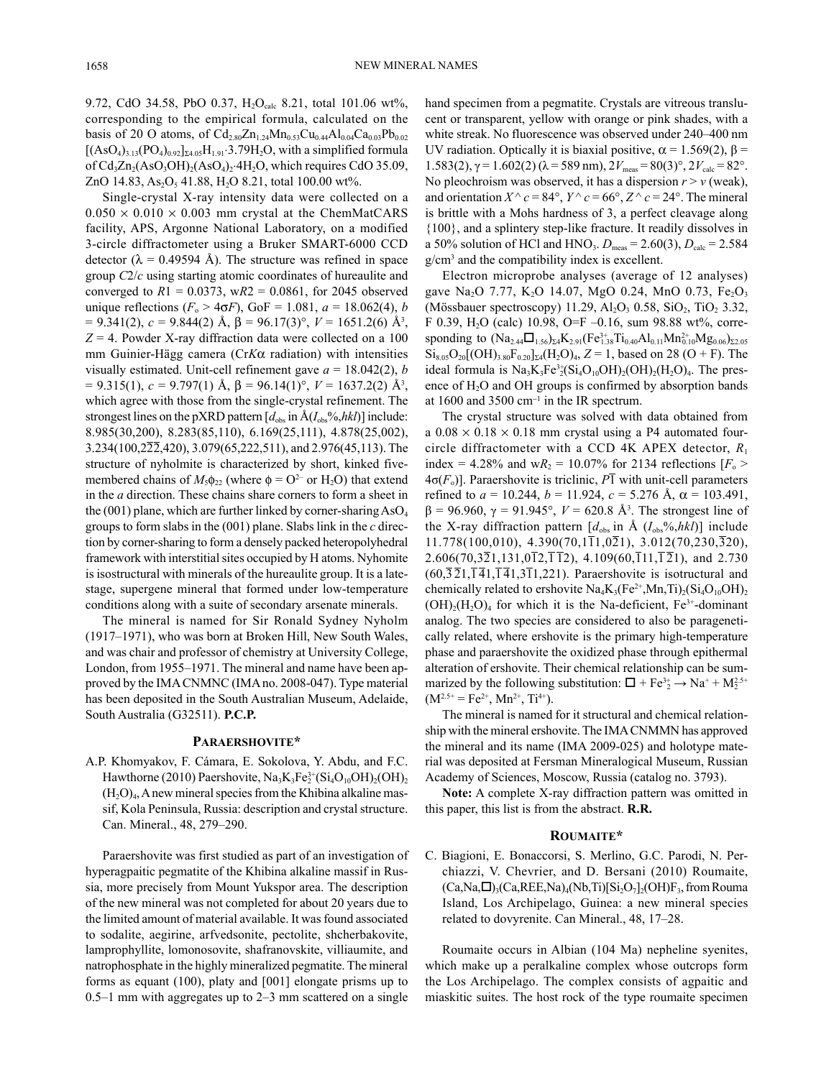9.72, CdO 34.58, PbO 0.37,  $H_2O_{calc}$  8.21, total 101.06 wt%, corresponding to the empirical formula, calculated on the basis of 20 O atoms, of  $Cd_{2.80}Zn_{1.24}Mn_{0.53}Cu_{0.44}Al_{0.04}Ca_{0.03}Pb_{0.02}$  $[(AsO<sub>4</sub>)<sub>3.13</sub>(PO<sub>4</sub>)<sub>0.92</sub>]<sub>24.05</sub>H<sub>1.91</sub>·3.79H<sub>2</sub>O, with a simplified formula$ of  $Cd_3Zn_2(AsO_3OH)_2(AsO_4)_2.4H_2O$ , which requires CdO 35.09, ZnO 14.83, As<sub>2</sub>O<sub>5</sub> 41.88, H<sub>2</sub>O 8.21, total 100.00 wt%.

Single-crystal X-ray intensity data were collected on a  $0.050 \times 0.010 \times 0.003$  mm crystal at the ChemMatCARS facility, APS, Argonne National Laboratory, on a modified 3-circle diffractometer using a Bruker SMART-6000 CCD detector ( $\lambda$  = 0.49594 Å). The structure was refined in space group *C*2/*c* using starting atomic coordinates of hureaulite and converged to  $R1 = 0.0373$ ,  $wR2 = 0.0861$ , for 2045 observed unique reflections ( $F_0 > 4\sigma F$ ), GoF = 1.081,  $a = 18.062(4)$ , *b*  $= 9.341(2), c = 9.844(2)$  Å,  $\beta = 96.17(3)$ °,  $V = 1651.2(6)$  Å<sup>3</sup>,  $Z = 4$ . Powder X-ray diffraction data were collected on a 100 mm Guinier-Hägg camera (Cr*K*a radiation) with intensities visually estimated. Unit-cell refinement gave  $a = 18.042(2)$ , *b*  $= 9.315(1), c = 9.797(1)$  Å,  $\beta = 96.14(1)$ °,  $V = 1637.2(2)$  Å<sup>3</sup>, which agree with those from the single-crystal refinement. The strongest lines on the pXRD pattern  $[d_{obs}$  in  $\hat{A}(I_{obs}\%hkl)]$  include: 8.985(30,200), 8.283(85,110), 6.169(25,111), 4.878(25,002), 3.234(100,222,420), 3.079(65,222,511), and 2.976(45,113). The structure of nyholmite is characterized by short, kinked fivemembered chains of  $M_5\phi_{22}$  (where  $\phi = O^{2-}$  or H<sub>2</sub>O) that extend in the *a* direction. These chains share corners to form a sheet in the (001) plane, which are further linked by corner-sharing  $AsO<sub>4</sub>$ groups to form slabs in the (001) plane. Slabs link in the *c* direction by corner-sharing to form a densely packed heteropolyhedral framework with interstitial sites occupied by H atoms. Nyhomite is isostructural with minerals of the hureaulite group. It is a latestage, supergene mineral that formed under low-temperature conditions along with a suite of secondary arsenate minerals.

The mineral is named for Sir Ronald Sydney Nyholm (1917–1971), who was born at Broken Hill, New South Wales, and was chair and professor of chemistry at University College, London, from 1955–1971. The mineral and name have been approved by the IMA CNMNC (IMA no. 2008-047). Type material has been deposited in the South Australian Museum, Adelaide, South Australia (G32511). **P.C.P.**

### **PaRaeRshoviTe\***

A.P. Khomyakov, F. Cámara, E. Sokolova, Y. Abdu, and F.C. Hawthorne (2010) Paershovite,  $\text{Na}_3\text{K}_3\text{Fe}_2^{3+}(\text{Si}_4\text{O}_{10}\text{OH})_2(\text{OH})_2$  $(H<sub>2</sub>O)<sub>4</sub>$ , A new mineral species from the Khibina alkaline massif, Kola Peninsula, Russia: description and crystal structure. Can. Mineral., 48, 279–290.

Paraershovite was first studied as part of an investigation of hyperagpaitic pegmatite of the Khibina alkaline massif in Russia, more precisely from Mount Yukspor area. The description of the new mineral was not completed for about 20 years due to the limited amount of material available. It was found associated to sodalite, aegirine, arfvedsonite, pectolite, shcherbakovite, lamprophyllite, lomonosovite, shafranovskite, villiaumite, and natrophosphate in the highly mineralized pegmatite. The mineral forms as equant (100), platy and [001] elongate prisms up to 0.5–1 mm with aggregates up to 2–3 mm scattered on a single hand specimen from a pegmatite. Crystals are vitreous translucent or transparent, yellow with orange or pink shades, with a white streak. No fluorescence was observed under 240–400 nm UV radiation. Optically it is biaxial positive,  $\alpha$  = 1.569(2),  $\beta$  = 1.583(2),  $\gamma$  = 1.602(2) (λ = 589 nm),  $2V_{\text{meas}}$  = 80(3)°,  $2V_{\text{calc}}$  = 82°. No pleochroism was observed, it has a dispersion  $r > v$  (weak), and orientation  $X^{\wedge} c = 84^{\circ}$ ,  $Y^{\wedge} c = 66^{\circ}$ ,  $Z^{\wedge} c = 24^{\circ}$ . The mineral is brittle with a Mohs hardness of 3, a perfect cleavage along {100}, and a splintery step-like fracture. It readily dissolves in a 50% solution of HCl and HNO<sub>3</sub>.  $D_{\text{meas}} = 2.60(3)$ ,  $D_{\text{calc}} = 2.584$ g/cm3 and the compatibility index is excellent.

Electron microprobe analyses (average of 12 analyses) gave Na<sub>2</sub>O 7.77, K<sub>2</sub>O 14.07, MgO 0.24, MnO 0.73, Fe<sub>2</sub>O<sub>3</sub> (Mössbauer spectroscopy) 11.29,  $Al_2O_3$  0.58,  $SiO_2$ ,  $TiO_2$  3.32, F 0.39, H<sub>2</sub>O (calc) 10.98, O=F -0.16, sum 98.88 wt%, corresponding to  $(Na_{2.44}\Box_{1.56})_{\Sigma 4}K_{2.91}(Fe_{1.38}^{3+}Ti_{0.40}Al_{0.11}Mn_{0.10}^{2+}Mg_{0.06})_{\Sigma 2.05}$  $\text{Si}_{8.05}\text{O}_{20}[(OH)_{3.80}\text{F}_{0.20}]_{\text{Z}4}(\text{H}_2\text{O})_4$ ,  $Z = 1$ , based on 28 (O + F). The ideal formula is  $Na<sub>3</sub>K<sub>3</sub>Fe<sup>3+</sup><sub>2</sub>(Si<sub>4</sub>O<sub>10</sub>OH)<sub>2</sub>(OH)<sub>2</sub>(H<sub>2</sub>O)<sub>4</sub>. The pres$ ence of  $H_2O$  and OH groups is confirmed by absorption bands at 1600 and 3500  $cm^{-1}$  in the IR spectrum.

The crystal structure was solved with data obtained from a  $0.08 \times 0.18 \times 0.18$  mm crystal using a P4 automated fourcircle diffractometer with a CCD 4K APEX detector, *R*<sup>1</sup> index = 4.28% and w $R_2$  = 10.07% for 2134 reflections  $[F_0 >$ 4σ(*F*o)]. Paraershovite is triclinic, *P*1 with unit-cell parameters refined to  $a = 10.244$ ,  $b = 11.924$ ,  $c = 5.276$  Å,  $\alpha = 103.491$ , β = 96.960, γ = 91.945°, *V* = 620.8 Å3 . The strongest line of the X-ray diffraction pattern  $[d_{obs}$  in  $\AA$   $(I_{obs}\%$ ,*hkl*)] include  $11.778(100,010)$ ,  $4.390(70,1\overline{1}1,0\overline{2}1)$ ,  $3.012(70,230,\overline{3}20)$ , 2.606(70,321,131,0 $\overline{1}2$ , $\overline{1}2$ ), 4.109(60, $\overline{1}11$ , $\overline{1}21$ ), and 2.730  $(60,\overline{3}\,\overline{2}1,\overline{1}\,\overline{4}1,\overline{1}\,\overline{4}1,3\overline{1}1,221)$ . Paraershovite is isotructural and chemically related to ershovite  $\text{Na}_4\text{K}_3(\text{Fe}^{2+},\text{Mn},\text{Ti})_2(\text{Si}_4\text{O}_{10}\text{OH})_2$  $(OH)<sub>2</sub>(H<sub>2</sub>O)<sub>4</sub>$  for which it is the Na-deficient, Fe<sup>3+</sup>-dominant analog. The two species are considered to also be paragenetically related, where ershovite is the primary high-temperature phase and paraershovite the oxidized phase through epithermal alteration of ershovite. Their chemical relationship can be summarized by the following substitution:  $\Box + Fe^{3+} \rightarrow Na^{+} + M_2^{2.5+}$  $(M^{2.5+} = Fe^{2+}, Mn^{2+}, Ti^{4+}).$ 

The mineral is named for it structural and chemical relationship with the mineral ershovite. The IMA CNMMN has approved the mineral and its name (IMA 2009-025) and holotype material was deposited at Fersman Mineralogical Museum, Russian Academy of Sciences, Moscow, Russia (catalog no. 3793).

**Note:** A complete X-ray diffraction pattern was omitted in this paper, this list is from the abstract. **R.R.**

#### **RoumaiTe\***

C. Biagioni, E. Bonaccorsi, S. Merlino, G.C. Parodi, N. Perchiazzi, V. Chevrier, and D. Bersani (2010) Roumaite,  $(Ca,Na,\Box)_{3}(Ca,REE,Na)_{4}(Nb,Ti)[Si<sub>2</sub>O<sub>7</sub>]<sub>2</sub>(OH)F<sub>3</sub>$ , from Rouma Island, Los Archipelago, Guinea: a new mineral species related to dovyrenite. Can Mineral., 48, 17–28.

Roumaite occurs in Albian (104 Ma) nepheline syenites, which make up a peralkaline complex whose outcrops form the Los Archipelago. The complex consists of agpaitic and miaskitic suites. The host rock of the type roumaite specimen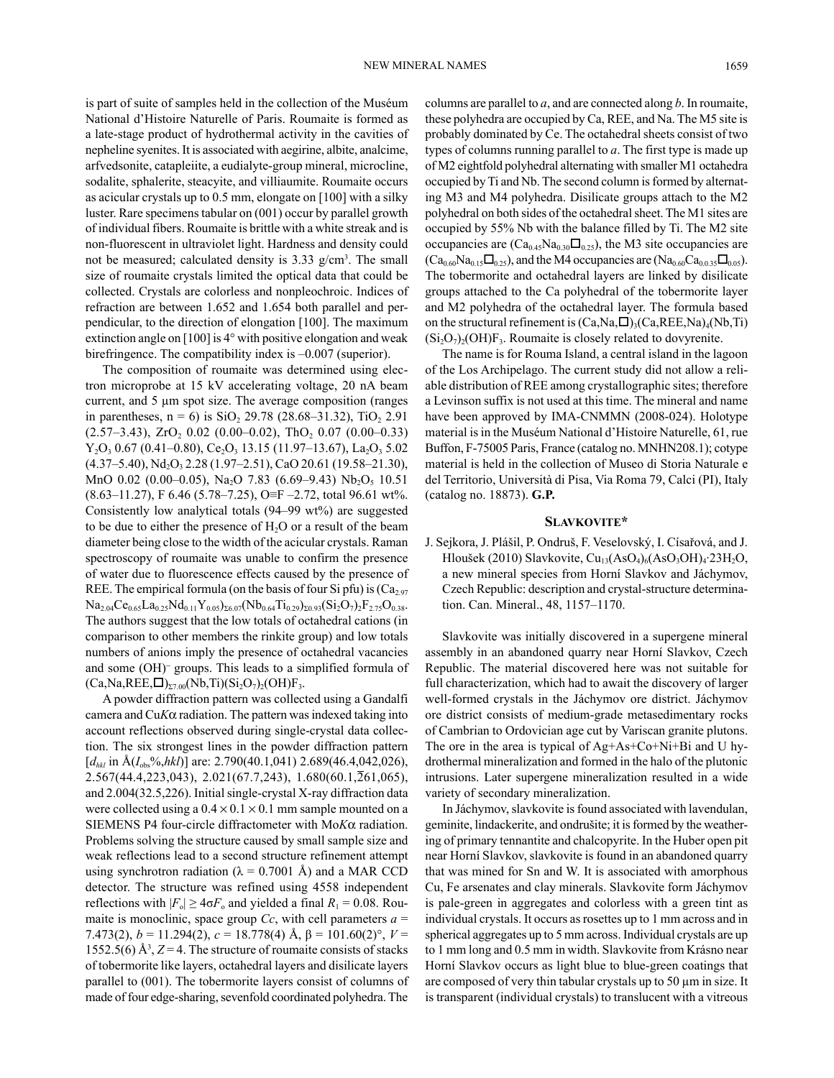is part of suite of samples held in the collection of the Muséum National d'Histoire Naturelle of Paris. Roumaite is formed as a late-stage product of hydrothermal activity in the cavities of nepheline syenites. It is associated with aegirine, albite, analcime, arfvedsonite, catapleiite, a eudialyte-group mineral, microcline, sodalite, sphalerite, steacyite, and villiaumite. Roumaite occurs as acicular crystals up to 0.5 mm, elongate on [100] with a silky luster. Rare specimens tabular on (001) occur by parallel growth of individual fibers. Roumaite is brittle with a white streak and is non-fluorescent in ultraviolet light. Hardness and density could not be measured; calculated density is 3.33 g/cm<sup>3</sup>. The small size of roumaite crystals limited the optical data that could be collected. Crystals are colorless and nonpleochroic. Indices of refraction are between 1.652 and 1.654 both parallel and perpendicular, to the direction of elongation [100]. The maximum extinction angle on [100] is 4° with positive elongation and weak birefringence. The compatibility index is –0.007 (superior).

The composition of roumaite was determined using electron microprobe at 15 kV accelerating voltage, 20 nA beam current, and 5 µm spot size. The average composition (ranges in parentheses,  $n = 6$ ) is SiO<sub>2</sub> 29.78 (28.68–31.32), TiO<sub>2</sub> 2.91  $(2.57-3.43)$ , ZrO<sub>2</sub> 0.02  $(0.00-0.02)$ , ThO<sub>2</sub> 0.07  $(0.00-0.33)$  $Y_2O_3$  0.67 (0.41–0.80), Ce<sub>2</sub>O<sub>3</sub> 13.15 (11.97–13.67), La<sub>2</sub>O<sub>3</sub> 5.02  $(4.37-5.40)$ , Nd<sub>2</sub>O<sub>3</sub> 2.28 (1.97-2.51), CaO 20.61 (19.58-21.30), MnO  $0.02$   $(0.00-0.05)$ , Na<sub>2</sub>O 7.83  $(6.69-9.43)$  Nb<sub>2</sub>O<sub>5</sub> 10.51  $(8.63-11.27)$ , F 6.46 (5.78–7.25), O≡F -2.72, total 96.61 wt%. Consistently low analytical totals (94–99 wt%) are suggested to be due to either the presence of  $H<sub>2</sub>O$  or a result of the beam diameter being close to the width of the acicular crystals. Raman spectroscopy of roumaite was unable to confirm the presence of water due to fluorescence effects caused by the presence of REE. The empirical formula (on the basis of four Si pfu) is  $(Ca_{2.97})$  $Na_{2.04}Ce_{0.65}La_{0.25}Nd_{0.11}Y_{0.05}S_{0.07} (Nb_{0.64}Ti_{0.29})_{\Sigma 0.93}(Si_2O_7)_2F_{2.75}O_{0.38}.$ The authors suggest that the low totals of octahedral cations (in comparison to other members the rinkite group) and low totals numbers of anions imply the presence of octahedral vacancies and some (OH)- groups. This leads to a simplified formula of  $(Ca, Na,REE, \square)_{\Sigma 7.00} (Nb, Ti)(Si<sub>2</sub>O<sub>7</sub>)_{2} (OH)F<sub>3</sub>.$ 

A powder diffraction pattern was collected using a Gandalfi camera and  $CuK\alpha$  radiation. The pattern was indexed taking into account reflections observed during single-crystal data collection. The six strongest lines in the powder diffraction pattern  $[d_{hkl}$  in  $\hat{A}(I_{obs}\%, hkl)]$  are: 2.790(40.1,041) 2.689(46.4,042,026), 2.567(44.4,223,043), 2.021(67.7,243), 1.680(60.1,261,065), and 2.004(32.5,226). Initial single-crystal X-ray diffraction data were collected using a  $0.4 \times 0.1 \times 0.1$  mm sample mounted on a SIEMENS P4 four-circle diffractometer with Mo*K*a radiation. Problems solving the structure caused by small sample size and weak reflections lead to a second structure refinement attempt using synchrotron radiation ( $\lambda = 0.7001$  Å) and a MAR CCD detector. The structure was refined using 4558 independent reflections with  $|F_{o}| \ge 4\sigma F_{o}$  and yielded a final  $R_1 = 0.08$ . Roumaite is monoclinic, space group  $Cc$ , with cell parameters  $a =$ 7.473(2),  $b = 11.294(2)$ ,  $c = 18.778(4)$  Å,  $β = 101.60(2)$ °,  $V =$ 1552.5(6)  $\mathring{A}^3$ ,  $Z = 4$ . The structure of roumaite consists of stacks of tobermorite like layers, octahedral layers and disilicate layers parallel to (001). The tobermorite layers consist of columns of made of four edge-sharing, sevenfold coordinated polyhedra. The

columns are parallel to *a*, and are connected along *b*. In roumaite, these polyhedra are occupied by Ca, REE, and Na. The M5 site is probably dominated by Ce. The octahedral sheets consist of two types of columns running parallel to *a*. The first type is made up of M2 eightfold polyhedral alternating with smaller M1 octahedra occupied by Ti and Nb. The second column is formed by alternating M3 and M4 polyhedra. Disilicate groups attach to the M2 polyhedral on both sides of the octahedral sheet. The M1 sites are occupied by 55% Nb with the balance filled by Ti. The M2 site occupancies are  $(Ca_{0.45}Na_{0.30}\Box_{0.25})$ , the M3 site occupancies are  $(Ca_{0.60}Na_{0.15}\Box_{0.25})$ , and the M4 occupancies are  $(Na_{0.60}Ca_{0.035}\Box_{0.05})$ . The tobermorite and octahedral layers are linked by disilicate groups attached to the Ca polyhedral of the tobermorite layer and M2 polyhedra of the octahedral layer. The formula based on the structural refinement is  $(Ca,Na,\Box)_{3}(Ca,REE,Na)_{4}(Nb,Ti)$  $(Si<sub>2</sub>O<sub>7</sub>)<sub>2</sub>(OH)F<sub>3</sub>$ . Roumaite is closely related to dovyrenite.

The name is for Rouma Island, a central island in the lagoon of the Los Archipelago. The current study did not allow a reliable distribution of REE among crystallographic sites; therefore a Levinson suffix is not used at this time. The mineral and name have been approved by IMA-CNMMN (2008-024). Holotype material is in the Muséum National d'Histoire Naturelle, 61, rue Buffon, F-75005 Paris, France (catalog no. MNHN208.1); cotype material is held in the collection of Museo di Storia Naturale e del Territorio, Università di Pisa, Via Roma 79, Calci (PI), Italy (catalog no. 18873). **G.P.**

#### **slavKoviTe\***

J. Sejkora, J. Plášil, P. Ondruš, F. Veselovský, I. Císařová, and J. Hloušek (2010) Slavkovite, Cu<sub>13</sub>(AsO<sub>4</sub>)<sub>6</sub>(AsO<sub>3</sub>OH)<sub>4</sub>·23H<sub>2</sub>O, a new mineral species from Horní Slavkov and Jáchymov, Czech Republic: description and crystal-structure determination. Can. Mineral., 48, 1157–1170.

Slavkovite was initially discovered in a supergene mineral assembly in an abandoned quarry near Horní Slavkov, Czech Republic. The material discovered here was not suitable for full characterization, which had to await the discovery of larger well-formed crystals in the Jáchymov ore district. Jáchymov ore district consists of medium-grade metasedimentary rocks of Cambrian to Ordovician age cut by Variscan granite plutons. The ore in the area is typical of Ag+As+Co+Ni+Bi and U hydrothermal mineralization and formed in the halo of the plutonic intrusions. Later supergene mineralization resulted in a wide variety of secondary mineralization.

In Jáchymov, slavkovite is found associated with lavendulan, geminite, lindackerite, and ondrušite; it is formed by the weathering of primary tennantite and chalcopyrite. In the Huber open pit near Horní Slavkov, slavkovite is found in an abandoned quarry that was mined for Sn and W. It is associated with amorphous Cu, Fe arsenates and clay minerals. Slavkovite form Jáchymov is pale-green in aggregates and colorless with a green tint as individual crystals. It occurs as rosettes up to 1 mm across and in spherical aggregates up to 5 mm across. Individual crystals are up to 1 mm long and 0.5 mm in width. Slavkovite from Krásno near Horní Slavkov occurs as light blue to blue-green coatings that are composed of very thin tabular crystals up to 50 µm in size. It is transparent (individual crystals) to translucent with a vitreous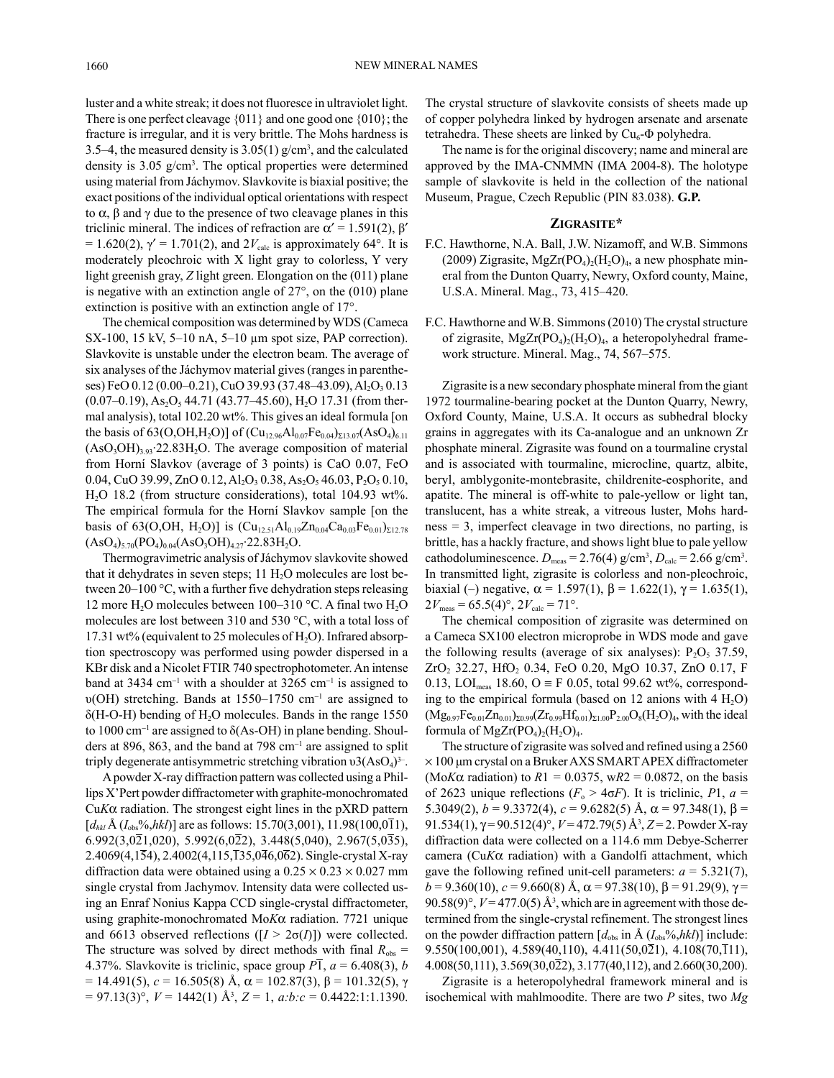luster and a white streak; it does not fluoresce in ultraviolet light. There is one perfect cleavage {011} and one good one {010}; the fracture is irregular, and it is very brittle. The Mohs hardness is 3.5–4, the measured density is  $3.05(1)$  g/cm<sup>3</sup>, and the calculated density is 3.05 g/cm3 . The optical properties were determined using material from Jáchymov. Slavkovite is biaxial positive; the exact positions of the individual optical orientations with respect to  $\alpha$ ,  $\beta$  and  $\gamma$  due to the presence of two cleavage planes in this triclinic mineral. The indices of refraction are  $\alpha' = 1.591(2)$ ,  $\beta'$  $= 1.620(2)$ ,  $\gamma' = 1.701(2)$ , and  $2V_{\text{calc}}$  is approximately 64°. It is moderately pleochroic with X light gray to colorless, Y very light greenish gray, *Z* light green. Elongation on the (011) plane is negative with an extinction angle of 27°, on the (010) plane extinction is positive with an extinction angle of 17°.

The chemical composition was determined by WDS (Cameca SX-100, 15 kV, 5–10 nA, 5–10 µm spot size, PAP correction). Slavkovite is unstable under the electron beam. The average of six analyses of the Jáchymov material gives (ranges in parentheses) FeO 0.12 (0.00–0.21), CuO 39.93 (37.48–43.09), Al<sub>2</sub>O<sub>3</sub> 0.13  $(0.07-0.19)$ , As<sub>2</sub>O<sub>5</sub> 44.71 (43.77–45.60), H<sub>2</sub>O 17.31 (from thermal analysis), total 102.20 wt%. This gives an ideal formula [on the basis of 63(O,OH,H<sub>2</sub>O)] of  $(Cu_{12.96}Al_{0.07}Fe_{0.04})_{\Sigma13.07}(AsO_4)_{6.11}$  $(AsO<sub>3</sub>OH)<sub>3.93</sub>$ <sup>2</sup>2.83H<sub>2</sub>O. The average composition of material from Horní Slavkov (average of 3 points) is CaO 0.07, FeO 0.04, CuO 39.99, ZnO 0.12, Al<sub>2</sub>O<sub>3</sub> 0.38, As<sub>2</sub>O<sub>5</sub> 46.03, P<sub>2</sub>O<sub>5</sub> 0.10, H2O 18.2 (from structure considerations), total 104.93 wt%. The empirical formula for the Horní Slavkov sample [on the basis of 63(O,OH, H<sub>2</sub>O)] is  $(Cu_{12.51}Al_{0.19}Zn_{0.04}Ca_{0.03}Fe_{0.01})_{\Sigma12.78}$  $(AsO<sub>4</sub>)<sub>5.70</sub>(PO<sub>4</sub>)<sub>0.04</sub>(AsO<sub>3</sub>OH)<sub>4.27</sub>·22.83H<sub>2</sub>O.$ 

Thermogravimetric analysis of Jáchymov slavkovite showed that it dehydrates in seven steps;  $11 H<sub>2</sub>O$  molecules are lost between 20–100 °C, with a further five dehydration steps releasing 12 more H2O molecules between 100–310 °C. A final two H2O molecules are lost between 310 and 530 °C, with a total loss of 17.31 wt% (equivalent to 25 molecules of  $H_2O$ ). Infrared absorption spectroscopy was performed using powder dispersed in a KBr disk and a Nicolet FTIR 740 spectrophotometer. An intense band at 3434  $cm^{-1}$  with a shoulder at 3265  $cm^{-1}$  is assigned to  $v(OH)$  stretching. Bands at 1550–1750 cm<sup>-1</sup> are assigned to  $\delta$ (H-O-H) bending of H<sub>2</sub>O molecules. Bands in the range 1550 to 1000 cm<sup>-1</sup> are assigned to  $\delta$ (As-OH) in plane bending. Shoulders at 896, 863, and the band at 798  $cm^{-1}$  are assigned to split triply degenerate antisymmetric stretching vibration  $v3(AsO<sub>4</sub>)<sup>3</sup>$ .

A powder X-ray diffraction pattern was collected using a Phillips X'Pert powder diffractometer with graphite-monochromated  $CuK\alpha$  radiation. The strongest eight lines in the  $pXRD$  pattern  $[d_{hkl}$  Å  $(I_{obs}\%, hkl)]$  are as follows: 15.70(3,001), 11.98(100,011),  $6.992(3.0\overline{2}1.020)$ ,  $5.992(6.0\overline{2}2)$ ,  $3.448(5.040)$ ,  $2.967(5.0\overline{3}5)$ , 2.4069(4,154), 2.4002(4,115,135,046,062). Single-crystal X-ray diffraction data were obtained using a  $0.25 \times 0.23 \times 0.027$  mm single crystal from Jachymov. Intensity data were collected using an Enraf Nonius Kappa CCD single-crystal diffractometer, using graphite-monochromated Mo*K*a radiation. 7721 unique and 6613 observed reflections  $([I > 2\sigma(I)])$  were collected. The structure was solved by direct methods with final  $R_{obs}$  = 4.37%. Slavkovite is triclinic, space group  $P\overline{1}$ ,  $a = 6.408(3)$ , *b* = 14.491(5),  $c = 16.505(8)$  Å,  $\alpha = 102.87(3)$ ,  $\beta = 101.32(5)$ , γ  $= 97.13(3)$ °,  $V = 1442(1)$  Å<sup>3</sup>,  $Z = 1$ ,  $a:b:c = 0.4422:1:1.1390$ . The crystal structure of slavkovite consists of sheets made up of copper polyhedra linked by hydrogen arsenate and arsenate tetrahedra. These sheets are linked by  $Cu<sub>6</sub>$ - $\Phi$  polyhedra.

The name is for the original discovery; name and mineral are approved by the IMA-CNMMN (IMA 2004-8). The holotype sample of slavkovite is held in the collection of the national Museum, Prague, Czech Republic (PIN 83.038). **G.P.**

## **ZiGRasiTe\***

- F.C. Hawthorne, N.A. Ball, J.W. Nizamoff, and W.B. Simmons (2009) Zigrasite, MgZr(PO<sub>4</sub>)<sub>2</sub>(H<sub>2</sub>O)<sub>4</sub>, a new phosphate mineral from the Dunton Quarry, Newry, Oxford county, Maine, U.S.A. Mineral. Mag., 73, 415–420.
- F.C. Hawthorne and W.B. Simmons (2010) The crystal structure of zigrasite,  $MgZr(PO<sub>4</sub>)<sub>2</sub>(H<sub>2</sub>O)<sub>4</sub>$ , a heteropolyhedral framework structure. Mineral. Mag., 74, 567–575.

Zigrasite is a new secondary phosphate mineral from the giant 1972 tourmaline-bearing pocket at the Dunton Quarry, Newry, Oxford County, Maine, U.S.A. It occurs as subhedral blocky grains in aggregates with its Ca-analogue and an unknown Zr phosphate mineral. Zigrasite was found on a tourmaline crystal and is associated with tourmaline, microcline, quartz, albite, beryl, amblygonite-montebrasite, childrenite-eosphorite, and apatite. The mineral is off-white to pale-yellow or light tan, translucent, has a white streak, a vitreous luster, Mohs hardness = 3, imperfect cleavage in two directions, no parting, is brittle, has a hackly fracture, and shows light blue to pale yellow cathodoluminescence.  $D_{\text{meas}} = 2.76(4) \text{ g/cm}^3$ ,  $D_{\text{calc}} = 2.66 \text{ g/cm}^3$ . In transmitted light, zigrasite is colorless and non-pleochroic, biaxial (–) negative,  $\alpha = 1.597(1)$ ,  $\beta = 1.622(1)$ ,  $\gamma = 1.635(1)$ ,  $2V_{\text{meas}} = 65.5(4)^\circ, 2V_{\text{calc}} = 71^\circ.$ 

The chemical composition of zigrasite was determined on a Cameca SX100 electron microprobe in WDS mode and gave the following results (average of six analyses):  $P_2O_5$  37.59, ZrO2 32.27, HfO2 0.34, FeO 0.20, MgO 10.37, ZnO 0.17, F 0.13, LOI<sub>meas</sub> 18.60, O ≡ F 0.05, total 99.62 wt%, corresponding to the empirical formula (based on 12 anions with  $4 \text{ H}_2\text{O}$ )  $(Mg_{0.97}Fe_{0.01}Zn_{0.01})_{\Sigma_{0.99}}(Zr_{0.99}Hf_{0.01})_{\Sigma_{1.00}}P_{2.00}O_8(H_2O)_4$ , with the ideal formula of  $MgZr(PO<sub>4</sub>)<sub>2</sub>(H<sub>2</sub>O)<sub>4</sub>.$ 

The structure of zigrasite was solved and refined using a 2560 × 100 μm crystal on a Bruker AXS SMART APEX diffractometer (Mo*K* $\alpha$  radiation) to *R*1 = 0.0375, w*R*2 = 0.0872, on the basis of 2623 unique reflections ( $F_0 > 4\sigma F$ ). It is triclinic, P1,  $a =$ 5.3049(2),  $b = 9.3372(4)$ ,  $c = 9.6282(5)$  Å,  $\alpha = 97.348(1)$ ,  $\beta =$ 91.534(1),  $\gamma$  = 90.512(4)°, *V* = 472.79(5) Å<sup>3</sup>, *Z* = 2. Powder X-ray diffraction data were collected on a 114.6 mm Debye-Scherrer camera (Cu*K*a radiation) with a Gandolfi attachment, which gave the following refined unit-cell parameters:  $a = 5.321(7)$ ,  $b = 9.360(10)$ ,  $c = 9.660(8)$  Å,  $\alpha = 97.38(10)$ ,  $\beta = 91.29(9)$ ,  $\gamma =$ 90.58(9)°,  $V = 477.0(5)$  Å<sup>3</sup>, which are in agreement with those determined from the single-crystal refinement. The strongest lines on the powder diffraction pattern  $[d_{obs}$  in  $\hat{A}$  ( $I_{obs}$ %,*hkl*)] include: 9.550(100,001), 4.589(40,110), 4.411(50,021), 4.108(70, $\overline{1}11$ ), 4.008(50,111), 3.569(30,022), 3.177(40,112), and 2.660(30,200).

Zigrasite is a heteropolyhedral framework mineral and is isochemical with mahlmoodite. There are two *P* sites, two *Mg*